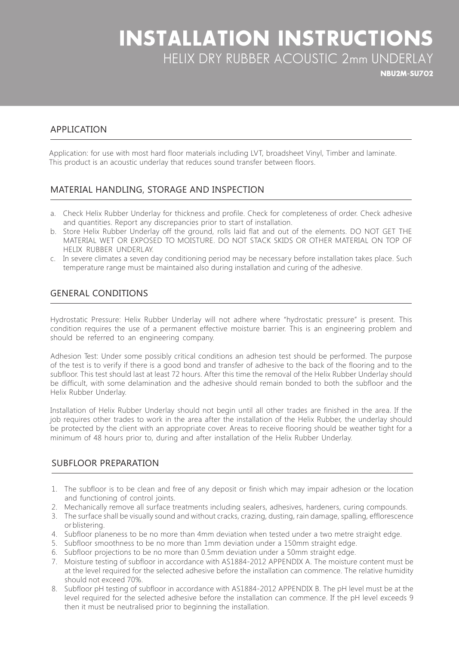## **INSTALLATION INSTRUCTIONS** HELIX DRY RUBBER ACOUSTIC 2mm UNDERLAY

**NBU2M-SU702** 

### APPLICATION

Application: for use with most hard floor materials including LVT, broadsheet Vinyl, Timber and laminate. This product is an acoustic underlay that reduces sound transfer between floors.

### MATERIAL HANDLING, STORAGE AND INSPECTION

- a. Check Helix Rubber Underlay for thickness and profile. Check for completeness of order. Check adhesive and quantities. Report any discrepancies prior to start of installation.
- b. Store Helix Rubber Underlay off the ground, rolls laid flat and out of the elements. DO NOT GET THE MATERIAL WET OR EXPOSED TO MOISTURE. DO NOT STACK SKIDS OR OTHER MATERIAL ON TOP OF HELIX RUBBER UNDERLAY.
- c. In severe climates a seven day conditioning period may be necessary before installation takes place. Such temperature range must be maintained also during installation and curing of the adhesive.

## **GENERAL CONDITIONS**

Hydrostatic Pressure: Helix Rubber Underlay will not adhere where "hydrostatic pressure" is present. This condition requires the use of a permanent effective moisture barrier. This is an engineering problem and should be referred to an engineering company.

Adhesion Test: Under some possibly critical conditions an adhesion test should be performed. The purpose of the test is to verify if there is a good bond and transfer of adhesive to the back of the flooring and to the subfloor. This test should last at least 72 hours. After this time the removal of the Helix Rubber Underlay should be difficult, with some delamination and the adhesive should remain bonded to both the subfloor and the Helix Rubber Underlay.

Installation of Helix Rubber Underlay should not begin until all other trades are finished in the area. If the job requires other trades to work in the area after the installation of the Helix Rubber, the underlay should be protected by the client with an appropriate cover. Areas to receive flooring should be weather tight for a minimum of 48 hours prior to, during and after installation of the Helix Rubber Underlay.

#### SUBFLOOR PREPARATION

- 1. The subfloor is to be clean and free of any deposit or finish which may impair adhesion or the location and functioning of control joints.
- 2. Mechanically remove all surface treatments including sealers, adhesives, hardeners, curing compounds.
- 3. The surface shall be visually sound and without cracks, crazing, dusting, rain damage, spalling, efflorescence or blistering.
- 4. Subfloor planeness to be no more than 4mm deviation when tested under a two metre straight edge.
- 5. Subfloor smoothness to be no more than 1mm deviation under a 150mm straight edge.
- 6. Subfloor projections to be no more than 0.5 mm deviation under a 50 mm straight edge.
- 7. Moisture testing of subfloor in accordance with AS1884-2012 APPENDIX A. The moisture content must be at the level required for the selected adhesive before the installation can commence. The relative humidity should not exceed 70%.
- 8. Subfloor pH testing of subfloor in accordance with AS1884-2012 APPENDIX B. The pH level must be at the level required for the selected adhesive before the installation can commence. If the pH level exceeds 9 then it must be neutralised prior to beginning the installation.